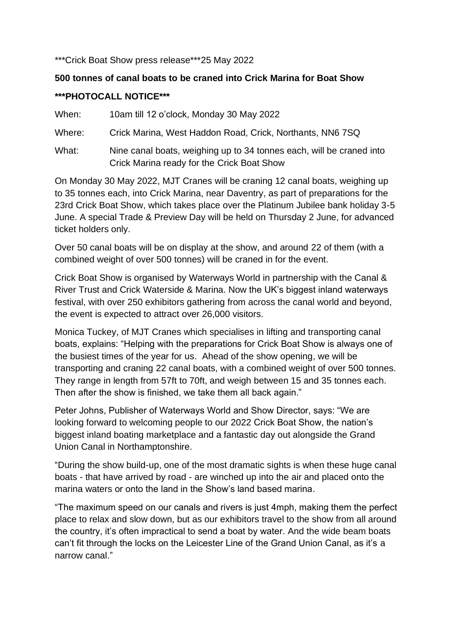#### \*\*\*Crick Boat Show press release\*\*\*25 May 2022

# **500 tonnes of canal boats to be craned into Crick Marina for Boat Show \*\*\*PHOTOCALL NOTICE\*\*\***

When: 10am till 12 o'clock, Monday 30 May 2022

Where: Crick Marina, West Haddon Road, Crick, Northants, NN6 7SQ

What: Nine canal boats, weighing up to 34 tonnes each, will be craned into Crick Marina ready for the Crick Boat Show

On Monday 30 May 2022, MJT Cranes will be craning 12 canal boats, weighing up to 35 tonnes each, into Crick Marina, near Daventry, as part of preparations for the 23rd Crick Boat Show, which takes place over the Platinum Jubilee bank holiday 3-5 June. A special Trade & Preview Day will be held on Thursday 2 June, for advanced ticket holders only.

Over 50 canal boats will be on display at the show, and around 22 of them (with a combined weight of over 500 tonnes) will be craned in for the event.

Crick Boat Show is organised by Waterways World in partnership with the Canal & River Trust and Crick Waterside & Marina. Now the UK's biggest inland waterways festival, with over 250 exhibitors gathering from across the canal world and beyond, the event is expected to attract over 26,000 visitors.

Monica Tuckey, of MJT Cranes which specialises in lifting and transporting canal boats, explains: "Helping with the preparations for Crick Boat Show is always one of the busiest times of the year for us. Ahead of the show opening, we will be transporting and craning 22 canal boats, with a combined weight of over 500 tonnes. They range in length from 57ft to 70ft, and weigh between 15 and 35 tonnes each. Then after the show is finished, we take them all back again."

Peter Johns, Publisher of Waterways World and Show Director, says: "We are looking forward to welcoming people to our 2022 Crick Boat Show, the nation's biggest inland boating marketplace and a fantastic day out alongside the Grand Union Canal in Northamptonshire.

"During the show build-up, one of the most dramatic sights is when these huge canal boats - that have arrived by road - are winched up into the air and placed onto the marina waters or onto the land in the Show's land based marina.

"The maximum speed on our canals and rivers is just 4mph, making them the perfect place to relax and slow down, but as our exhibitors travel to the show from all around the country, it's often impractical to send a boat by water. And the wide beam boats can't fit through the locks on the Leicester Line of the Grand Union Canal, as it's a narrow canal"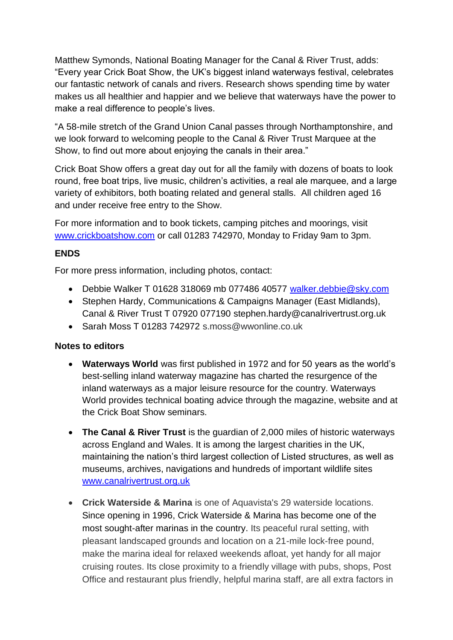Matthew Symonds, National Boating Manager for the Canal & River Trust, adds: "Every year Crick Boat Show, the UK's biggest inland waterways festival, celebrates our fantastic network of canals and rivers. Research shows spending time by water makes us all healthier and happier and we believe that waterways have the power to make a real difference to people's lives.

"A 58-mile stretch of the Grand Union Canal passes through Northamptonshire, and we look forward to welcoming people to the Canal & River Trust Marquee at the Show, to find out more about enjoying the canals in their area."

Crick Boat Show offers a great day out for all the family with dozens of boats to look round, free boat trips, live music, children's activities, a real ale marquee, and a large variety of exhibitors, both boating related and general stalls. All children aged 16 and under receive free entry to the Show.

For more information and to book tickets, camping pitches and moorings, visit [www.crickboatshow.com](http://www.crickboatshow.com/) or call 01283 742970, Monday to Friday 9am to 3pm.

## **ENDS**

For more press information, including photos, contact:

- Debbie Walker T 01628 318069 mb 077486 40577 [walker.debbie@sky.com](mailto:walker.debbie@sky.com)
- Stephen Hardy, Communications & Campaigns Manager (East Midlands), Canal & River Trust T 07920 077190 stephen.hardy@canalrivertrust.org.uk
- Sarah Moss T 01283 742972 s.moss@wwonline.co.uk

#### **Notes to editors**

- **Waterways World** was first published in 1972 and for 50 years as the world's best-selling inland waterway magazine has charted the resurgence of the inland waterways as a major leisure resource for the country. Waterways World provides technical boating advice through the magazine, website and at the Crick Boat Show seminars.
- **The Canal & River Trust** is the guardian of 2,000 miles of historic waterways across England and Wales. It is among the largest charities in the UK, maintaining the nation's third largest collection of Listed structures, as well as museums, archives, navigations and hundreds of important wildlife sites [www.canalrivertrust.org.uk](http://www.canalrivertrust.org.uk/)
- **Crick Waterside & Marina** is one of Aquavista's 29 waterside locations. Since opening in 1996, Crick Waterside & Marina has become one of the most sought-after marinas in the country. Its peaceful rural setting, with pleasant landscaped grounds and location on a 21-mile lock-free pound, make the marina ideal for relaxed weekends afloat, yet handy for all major cruising routes. Its close proximity to a friendly village with pubs, shops, Post Office and restaurant plus friendly, helpful marina staff, are all extra factors in